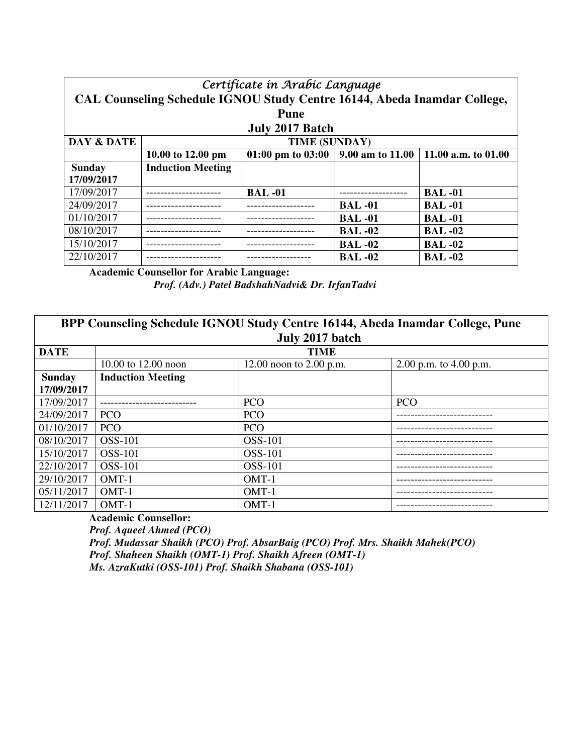| Certificate in Arabic Language |                                                                                    |                 |                |               |
|--------------------------------|------------------------------------------------------------------------------------|-----------------|----------------|---------------|
|                                | CAL Counseling Schedule IGNOU Study Centre 16144, Abeda Inamdar College,           |                 |                |               |
|                                |                                                                                    | <b>Pune</b>     |                |               |
|                                |                                                                                    | July 2017 Batch |                |               |
| DAY & DATE                     |                                                                                    | TIME (SUNDAY)   |                |               |
|                                | 01:00 pm to 03:00   9.00 am to 11.00  <br>11.00 a.m. to 01.00<br>10.00 to 12.00 pm |                 |                |               |
| <b>Sunday</b>                  | <b>Induction Meeting</b>                                                           |                 |                |               |
| 17/09/2017                     |                                                                                    |                 |                |               |
| 17/09/2017                     |                                                                                    | <b>BAL-01</b>   |                | <b>BAL-01</b> |
| 24/09/2017                     |                                                                                    |                 | <b>BAL</b> -01 | <b>BAL-01</b> |
| 01/10/2017                     |                                                                                    |                 | <b>BAL</b> -01 | <b>BAL-01</b> |
| 08/10/2017                     |                                                                                    |                 | <b>BAL</b> -02 | <b>BAL-02</b> |
| 15/10/2017                     |                                                                                    |                 | <b>BAL-02</b>  | <b>BAL-02</b> |
| 22/10/2017                     |                                                                                    |                 | <b>BAL-02</b>  | <b>BAL-02</b> |

**Academic Counsellor for Arabic Language:**

*Prof. (Adv.) Patel BadshahNadvi& Dr. IrfanTadvi* 

|               | BPP Counseling Schedule IGNOU Study Centre 16144, Abeda Inamdar College, Pune |                           |                          |  |
|---------------|-------------------------------------------------------------------------------|---------------------------|--------------------------|--|
|               |                                                                               | July 2017 batch           |                          |  |
| <b>DATE</b>   |                                                                               | <b>TIME</b>               |                          |  |
|               | 10.00 to 12.00 noon                                                           | 12.00 noon to $2.00$ p.m. | 2.00 p.m. to $4.00$ p.m. |  |
| <b>Sunday</b> | <b>Induction Meeting</b>                                                      |                           |                          |  |
| 17/09/2017    |                                                                               |                           |                          |  |
| 17/09/2017    |                                                                               | <b>PCO</b>                | <b>PCO</b>               |  |
| 24/09/2017    | <b>PCO</b>                                                                    | <b>PCO</b>                |                          |  |
| 01/10/2017    | <b>PCO</b>                                                                    | <b>PCO</b>                |                          |  |
| 08/10/2017    | <b>OSS-101</b>                                                                | <b>OSS-101</b>            |                          |  |
| 15/10/2017    | <b>OSS-101</b>                                                                | OSS-101                   |                          |  |
| 22/10/2017    | <b>OSS-101</b>                                                                | <b>OSS-101</b>            |                          |  |
| 29/10/2017    | OMT-1                                                                         | $OMT-1$                   |                          |  |
| 05/11/2017    | $OMT-1$                                                                       | $OMT-1$                   |                          |  |
| 12/11/2017    | $OMT-1$                                                                       | $OMT-1$                   |                          |  |

**Academic Counsellor:** 

*Prof. Aqueel Ahmed (PCO) Prof. Mudassar Shaikh (PCO) Prof. AbsarBaig (PCO) Prof. Mrs. Shaikh Mahek(PCO) Prof. Shaheen Shaikh (OMT-1) Prof. Shaikh Afreen (OMT-1) Ms. AzraKutki (OSS-101) Prof. Shaikh Shabana (OSS-101)*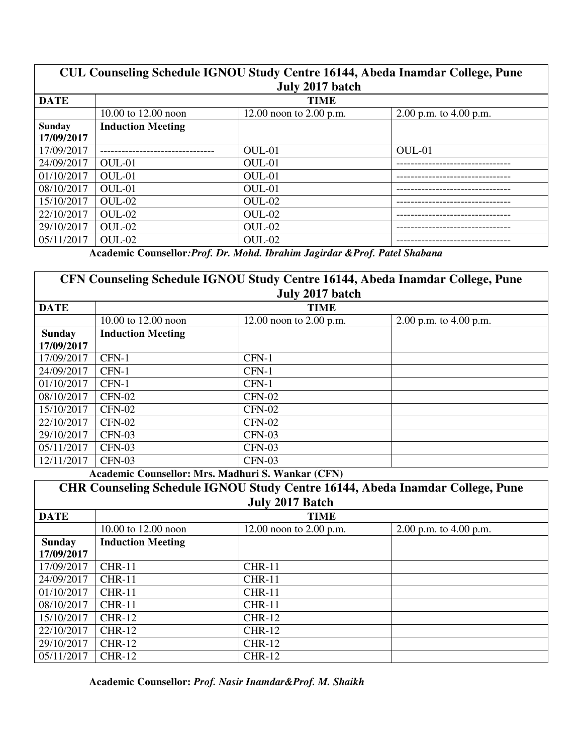## **CUL Counseling Schedule IGNOU Study Centre 16144, Abeda Inamdar College, Pune July 2017 batch DATE** TIME

| DAIL          | TIME                     |                           |                          |  |
|---------------|--------------------------|---------------------------|--------------------------|--|
|               | 10.00 to 12.00 noon      | 12.00 noon to $2.00$ p.m. | 2.00 p.m. to $4.00$ p.m. |  |
| <b>Sunday</b> | <b>Induction Meeting</b> |                           |                          |  |
| 17/09/2017    |                          |                           |                          |  |
| 17/09/2017    |                          | OUL-01                    | OUL-01                   |  |
| 24/09/2017    | $OUL-01$                 | OUL-01                    |                          |  |
| 01/10/2017    | $OUL-01$                 | OUL-01                    |                          |  |
| 08/10/2017    | OUL-01                   | OUL-01                    |                          |  |
| 15/10/2017    | $OUL-02$                 | OUL-02                    |                          |  |
| 22/10/2017    | $OUL-02$                 | OUL-02                    |                          |  |
| 29/10/2017    | $OUL-02$                 | OUL-02                    |                          |  |
| 05/11/2017    | $OUL-02$                 | OUL-02                    |                          |  |

**Academic Counsellor***:Prof. Dr. Mohd. Ibrahim Jagirdar &Prof. Patel Shabana* 

|               | CFN Counseling Schedule IGNOU Study Centre 16144, Abeda Inamdar College, Pune |                           |                          |  |
|---------------|-------------------------------------------------------------------------------|---------------------------|--------------------------|--|
|               |                                                                               | July 2017 batch           |                          |  |
| <b>DATE</b>   |                                                                               | <b>TIME</b>               |                          |  |
|               | 10.00 to 12.00 noon                                                           | 12.00 noon to $2.00$ p.m. | 2.00 p.m. to $4.00$ p.m. |  |
| <b>Sunday</b> | <b>Induction Meeting</b>                                                      |                           |                          |  |
| 17/09/2017    |                                                                               |                           |                          |  |
| 17/09/2017    | $CFN-1$                                                                       | CFN-1                     |                          |  |
| 24/09/2017    | $CFN-1$                                                                       | $CFN-1$                   |                          |  |
| 01/10/2017    | $CFN-1$                                                                       | CFN-1                     |                          |  |
| 08/10/2017    | $CFN-02$                                                                      | $CFN-02$                  |                          |  |
| 15/10/2017    | $CFN-02$                                                                      | $CFN-02$                  |                          |  |
| 22/10/2017    | $CFN-02$                                                                      | $CFN-02$                  |                          |  |
| 29/10/2017    | $CFN-03$                                                                      | $CFN-03$                  |                          |  |
| 05/11/2017    | $CFN-03$                                                                      | $CFN-03$                  |                          |  |
| 12/11/2017    | $CFN-03$                                                                      | $CFN-03$                  |                          |  |

**Academic Counsellor: Mrs. Madhuri S. Wankar (CFN)** 

|               | <b>CHR Counseling Schedule IGNOU Study Centre 16144, Abeda Inamdar College, Pune</b><br>July 2017 Batch |                           |                          |  |  |
|---------------|---------------------------------------------------------------------------------------------------------|---------------------------|--------------------------|--|--|
| <b>DATE</b>   |                                                                                                         | <b>TIME</b>               |                          |  |  |
|               | 10.00 to 12.00 noon                                                                                     | 12.00 noon to $2.00$ p.m. | 2.00 p.m. to $4.00$ p.m. |  |  |
| <b>Sunday</b> | <b>Induction Meeting</b>                                                                                |                           |                          |  |  |
| 17/09/2017    |                                                                                                         |                           |                          |  |  |
| 17/09/2017    | $CHR-11$                                                                                                | $CHR-11$                  |                          |  |  |
| 24/09/2017    | $CHR-11$                                                                                                | $CHR-11$                  |                          |  |  |
| 01/10/2017    | $CHR-11$                                                                                                | $CHR-11$                  |                          |  |  |
| 08/10/2017    | $CHR-11$                                                                                                | $CHR-11$                  |                          |  |  |
| 15/10/2017    | $CHR-12$                                                                                                | <b>CHR-12</b>             |                          |  |  |
| 22/10/2017    | $CHR-12$                                                                                                | <b>CHR-12</b>             |                          |  |  |
| 29/10/2017    | $CHR-12$                                                                                                | <b>CHR-12</b>             |                          |  |  |
| 05/11/2017    | $CHR-12$                                                                                                | <b>CHR-12</b>             |                          |  |  |

**Academic Counsellor:** *Prof. Nasir Inamdar&Prof. M. Shaikh*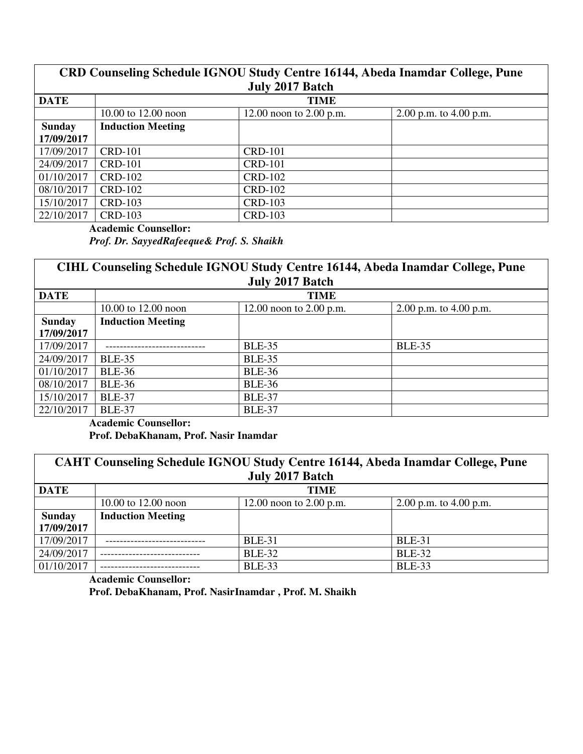## **CRD Counseling Schedule IGNOU Study Centre 16144, Abeda Inamdar College, Pune July 2017 Batch**

| <b>DATE</b>   |                          | <b>TIME</b>               |                          |
|---------------|--------------------------|---------------------------|--------------------------|
|               | 10.00 to 12.00 noon      | 12.00 noon to $2.00$ p.m. | 2.00 p.m. to $4.00$ p.m. |
| <b>Sunday</b> | <b>Induction Meeting</b> |                           |                          |
| 17/09/2017    |                          |                           |                          |
| 17/09/2017    | <b>CRD-101</b>           | <b>CRD-101</b>            |                          |
| 24/09/2017    | <b>CRD-101</b>           | <b>CRD-101</b>            |                          |
| 01/10/2017    | CRD-102                  | <b>CRD-102</b>            |                          |
| 08/10/2017    | CRD-102                  | <b>CRD-102</b>            |                          |
| 15/10/2017    | CRD-103                  | <b>CRD-103</b>            |                          |
| 22/10/2017    | CRD-103                  | <b>CRD-103</b>            |                          |

**Academic Counsellor:** 

*Prof. Dr. SayyedRafeeque& Prof. S. Shaikh* 

**CIHL Counseling Schedule IGNOU Study Centre 16144, Abeda Inamdar College, Pune July 2017 Batch** 

| <b>DATE</b>   | <b>TIME</b>              |                           |                          |  |
|---------------|--------------------------|---------------------------|--------------------------|--|
|               | 10.00 to 12.00 noon      | 12.00 noon to $2.00$ p.m. | 2.00 p.m. to $4.00$ p.m. |  |
| <b>Sunday</b> | <b>Induction Meeting</b> |                           |                          |  |
| 17/09/2017    |                          |                           |                          |  |
| 17/09/2017    |                          | <b>BLE-35</b>             | <b>BLE-35</b>            |  |
| 24/09/2017    | <b>BLE-35</b>            | <b>BLE-35</b>             |                          |  |
| 01/10/2017    | <b>BLE-36</b>            | <b>BLE-36</b>             |                          |  |
| 08/10/2017    | <b>BLE-36</b>            | <b>BLE-36</b>             |                          |  |
| 15/10/2017    | <b>BLE-37</b>            | <b>BLE-37</b>             |                          |  |
| 22/10/2017    | <b>BLE-37</b>            | <b>BLE-37</b>             |                          |  |

**Academic Counsellor:** 

**Prof. DebaKhanam, Prof. Nasir Inamdar** 

|               | CAHT Counseling Schedule IGNOU Study Centre 16144, Abeda Inamdar College, Pune |                           |                          |  |  |
|---------------|--------------------------------------------------------------------------------|---------------------------|--------------------------|--|--|
|               |                                                                                | July 2017 Batch           |                          |  |  |
| <b>DATE</b>   | <b>TIME</b>                                                                    |                           |                          |  |  |
|               | 10.00 to 12.00 noon                                                            | 12.00 noon to $2.00$ p.m. | 2.00 p.m. to $4.00$ p.m. |  |  |
| <b>Sunday</b> | <b>Induction Meeting</b>                                                       |                           |                          |  |  |
| 17/09/2017    |                                                                                |                           |                          |  |  |
| 17/09/2017    |                                                                                | <b>BLE-31</b>             | <b>BLE-31</b>            |  |  |
| 24/09/2017    |                                                                                | <b>BLE-32</b>             | <b>BLE-32</b>            |  |  |
| 01/10/2017    |                                                                                | <b>BLE-33</b>             | <b>BLE-33</b>            |  |  |

**Academic Counsellor:** 

**Prof. DebaKhanam, Prof. NasirInamdar , Prof. M. Shaikh**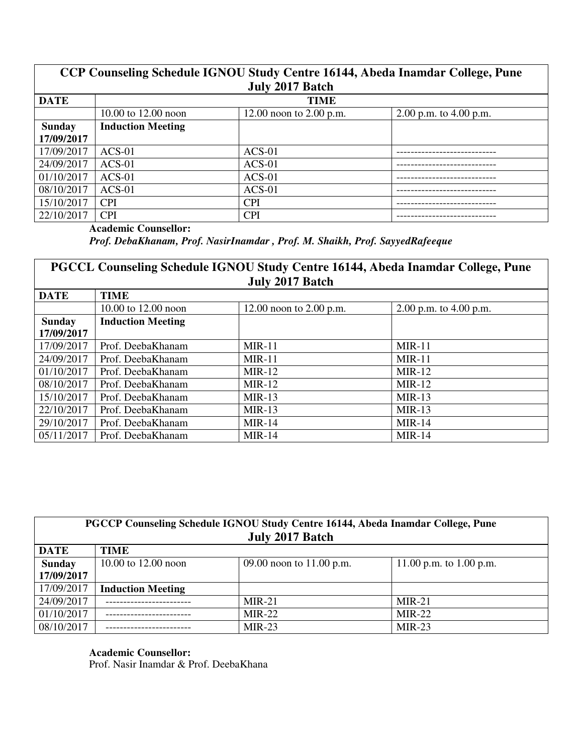## **CCP Counseling Schedule IGNOU Study Centre 16144, Abeda Inamdar College, Pune July 2017 Batch DATE** TIME

|               | 10.00 to 12.00 noon      | 12.00 noon to $2.00$ p.m. | 2.00 p.m. to $4.00$ p.m. |
|---------------|--------------------------|---------------------------|--------------------------|
| <b>Sunday</b> | <b>Induction Meeting</b> |                           |                          |
| 17/09/2017    |                          |                           |                          |
| 17/09/2017    | $ACS-01$                 | $ACS-01$                  |                          |
| 24/09/2017    | $ACS-01$                 | $ACS-01$                  |                          |
| 01/10/2017    | $ACS-01$                 | $ACS-01$                  |                          |
| 08/10/2017    | $ACS-01$                 | $ACS-01$                  |                          |
| 15/10/2017    | <b>CPI</b>               | <b>CPI</b>                |                          |
| 22/10/2017    | <b>CPI</b>               | <b>CPI</b>                |                          |

**Academic Counsellor:** 

*Prof. DebaKhanam, Prof. NasirInamdar , Prof. M. Shaikh, Prof. SayyedRafeeque* 

## **PGCCL Counseling Schedule IGNOU Study Centre 16144, Abeda Inamdar College, Pune July 2017 Batch**

| <b>DATE</b>   | <b>TIME</b>              |                           |                          |
|---------------|--------------------------|---------------------------|--------------------------|
|               | 10.00 to $12.00$ noon    | 12.00 noon to $2.00$ p.m. | 2.00 p.m. to $4.00$ p.m. |
| <b>Sunday</b> | <b>Induction Meeting</b> |                           |                          |
| 17/09/2017    |                          |                           |                          |
| 17/09/2017    | Prof. DeebaKhanam        | $MIR-11$                  | $MIR-11$                 |
| 24/09/2017    | Prof. DeebaKhanam        | $MIR-11$                  | $MIR-11$                 |
| 01/10/2017    | Prof. DeebaKhanam        | $MIR-12$                  | $MIR-12$                 |
| 08/10/2017    | Prof. DeebaKhanam        | $MIR-12$                  | $MIR-12$                 |
| 15/10/2017    | Prof. DeebaKhanam        | $MIR-13$                  | $MIR-13$                 |
| 22/10/2017    | Prof. DeebaKhanam        | $MIR-13$                  | $MIR-13$                 |
| 29/10/2017    | Prof. DeebaKhanam        | $MIR-14$                  | $MIR-14$                 |
| 05/11/2017    | Prof. DeebaKhanam        | $MIR-14$                  | $MIR-14$                 |

| PGCCP Counseling Schedule IGNOU Study Centre 16144, Abeda Inamdar College, Pune<br>July 2017 Batch |                          |                          |                         |  |  |
|----------------------------------------------------------------------------------------------------|--------------------------|--------------------------|-------------------------|--|--|
| <b>DATE</b>                                                                                        | <b>TIME</b>              |                          |                         |  |  |
| <b>Sunday</b>                                                                                      | 10.00 to $12.00$ noon    | 09.00 noon to 11.00 p.m. | 11.00 p.m. to 1.00 p.m. |  |  |
| 17/09/2017                                                                                         |                          |                          |                         |  |  |
| 17/09/2017                                                                                         | <b>Induction Meeting</b> |                          |                         |  |  |
| 24/09/2017                                                                                         |                          | $MIR-21$                 | $MIR-21$                |  |  |
| 01/10/2017                                                                                         |                          | $MIR-22$                 | $MIR-22$                |  |  |
| 08/10/2017                                                                                         |                          | $MIR-23$                 | $MIR-23$                |  |  |

**Academic Counsellor:**  Prof. Nasir Inamdar & Prof. DeebaKhana